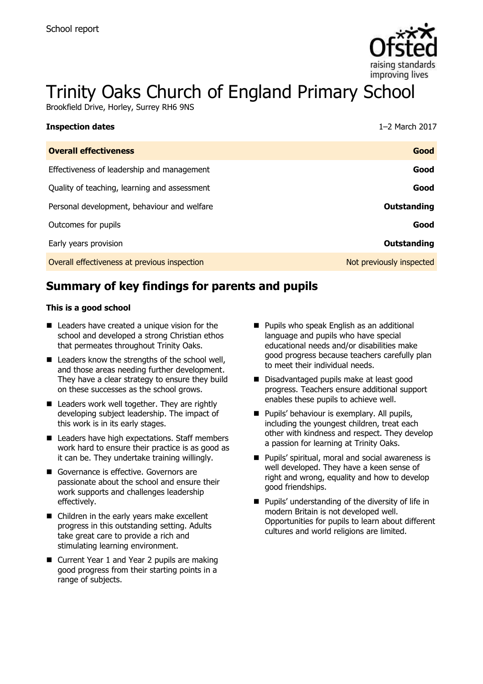

# Trinity Oaks Church of England Primary School

Brookfield Drive, Horley, Surrey RH6 9NS

| <b>Inspection dates</b>                      | 1-2 March 2017           |
|----------------------------------------------|--------------------------|
| <b>Overall effectiveness</b>                 | Good                     |
| Effectiveness of leadership and management   | Good                     |
| Quality of teaching, learning and assessment | Good                     |
| Personal development, behaviour and welfare  | <b>Outstanding</b>       |
| Outcomes for pupils                          | Good                     |
| Early years provision                        | <b>Outstanding</b>       |
| Overall effectiveness at previous inspection | Not previously inspected |

# **Summary of key findings for parents and pupils**

#### **This is a good school**

- Leaders have created a unique vision for the school and developed a strong Christian ethos that permeates throughout Trinity Oaks.
- $\blacksquare$  Leaders know the strengths of the school well, and those areas needing further development. They have a clear strategy to ensure they build on these successes as the school grows.
- Leaders work well together. They are rightly developing subject leadership. The impact of this work is in its early stages.
- Leaders have high expectations. Staff members work hard to ensure their practice is as good as it can be. They undertake training willingly.
- Governance is effective. Governors are passionate about the school and ensure their work supports and challenges leadership effectively.
- Children in the early years make excellent progress in this outstanding setting. Adults take great care to provide a rich and stimulating learning environment.
- Current Year 1 and Year 2 pupils are making good progress from their starting points in a range of subjects.
- **Pupils who speak English as an additional** language and pupils who have special educational needs and/or disabilities make good progress because teachers carefully plan to meet their individual needs.
- Disadvantaged pupils make at least good progress. Teachers ensure additional support enables these pupils to achieve well.
- **Pupils' behaviour is exemplary. All pupils,** including the youngest children, treat each other with kindness and respect. They develop a passion for learning at Trinity Oaks.
- **Pupils' spiritual, moral and social awareness is** well developed. They have a keen sense of right and wrong, equality and how to develop good friendships.
- $\blacksquare$  Pupils' understanding of the diversity of life in modern Britain is not developed well. Opportunities for pupils to learn about different cultures and world religions are limited.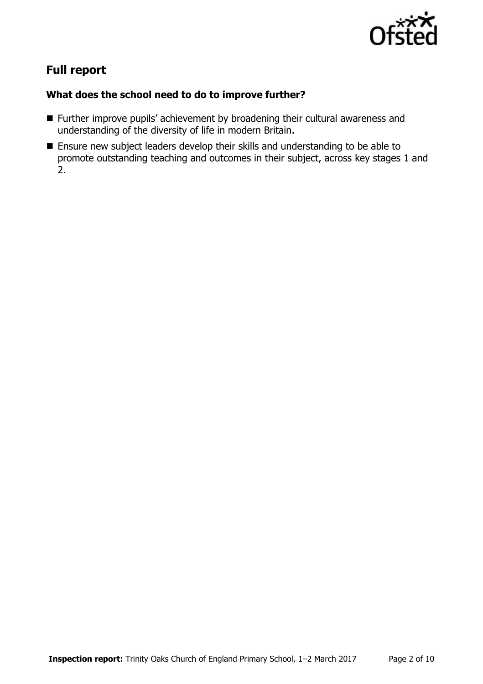

# **Full report**

### **What does the school need to do to improve further?**

- Further improve pupils' achievement by broadening their cultural awareness and understanding of the diversity of life in modern Britain.
- Ensure new subject leaders develop their skills and understanding to be able to promote outstanding teaching and outcomes in their subject, across key stages 1 and 2.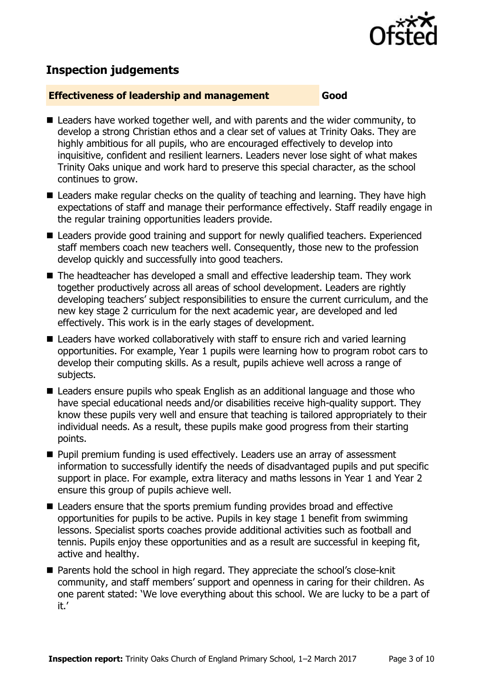

# **Inspection judgements**

#### **Effectiveness of leadership and management Good**

- Leaders have worked together well, and with parents and the wider community, to develop a strong Christian ethos and a clear set of values at Trinity Oaks. They are highly ambitious for all pupils, who are encouraged effectively to develop into inquisitive, confident and resilient learners. Leaders never lose sight of what makes Trinity Oaks unique and work hard to preserve this special character, as the school continues to grow.
- Leaders make regular checks on the quality of teaching and learning. They have high expectations of staff and manage their performance effectively. Staff readily engage in the regular training opportunities leaders provide.
- Leaders provide good training and support for newly qualified teachers. Experienced staff members coach new teachers well. Consequently, those new to the profession develop quickly and successfully into good teachers.
- The headteacher has developed a small and effective leadership team. They work together productively across all areas of school development. Leaders are rightly developing teachers' subject responsibilities to ensure the current curriculum, and the new key stage 2 curriculum for the next academic year, are developed and led effectively. This work is in the early stages of development.
- Leaders have worked collaboratively with staff to ensure rich and varied learning opportunities. For example, Year 1 pupils were learning how to program robot cars to develop their computing skills. As a result, pupils achieve well across a range of subjects.
- Leaders ensure pupils who speak English as an additional language and those who have special educational needs and/or disabilities receive high-quality support. They know these pupils very well and ensure that teaching is tailored appropriately to their individual needs. As a result, these pupils make good progress from their starting points.
- **Pupil premium funding is used effectively. Leaders use an array of assessment** information to successfully identify the needs of disadvantaged pupils and put specific support in place. For example, extra literacy and maths lessons in Year 1 and Year 2 ensure this group of pupils achieve well.
- Leaders ensure that the sports premium funding provides broad and effective opportunities for pupils to be active. Pupils in key stage 1 benefit from swimming lessons. Specialist sports coaches provide additional activities such as football and tennis. Pupils enjoy these opportunities and as a result are successful in keeping fit, active and healthy.
- Parents hold the school in high regard. They appreciate the school's close-knit community, and staff members' support and openness in caring for their children. As one parent stated: 'We love everything about this school. We are lucky to be a part of it.'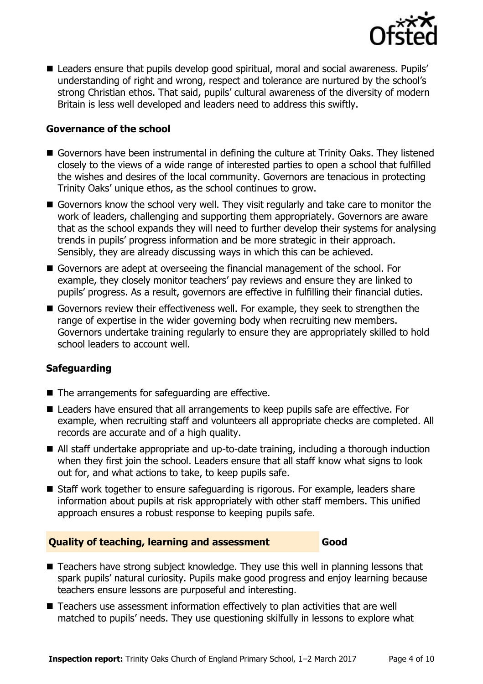

■ Leaders ensure that pupils develop good spiritual, moral and social awareness. Pupils' understanding of right and wrong, respect and tolerance are nurtured by the school's strong Christian ethos. That said, pupils' cultural awareness of the diversity of modern Britain is less well developed and leaders need to address this swiftly.

#### **Governance of the school**

- Governors have been instrumental in defining the culture at Trinity Oaks. They listened closely to the views of a wide range of interested parties to open a school that fulfilled the wishes and desires of the local community. Governors are tenacious in protecting Trinity Oaks' unique ethos, as the school continues to grow.
- Governors know the school very well. They visit regularly and take care to monitor the work of leaders, challenging and supporting them appropriately. Governors are aware that as the school expands they will need to further develop their systems for analysing trends in pupils' progress information and be more strategic in their approach. Sensibly, they are already discussing ways in which this can be achieved.
- Governors are adept at overseeing the financial management of the school. For example, they closely monitor teachers' pay reviews and ensure they are linked to pupils' progress. As a result, governors are effective in fulfilling their financial duties.
- Governors review their effectiveness well. For example, they seek to strengthen the range of expertise in the wider governing body when recruiting new members. Governors undertake training regularly to ensure they are appropriately skilled to hold school leaders to account well.

### **Safeguarding**

- The arrangements for safeguarding are effective.
- Leaders have ensured that all arrangements to keep pupils safe are effective. For example, when recruiting staff and volunteers all appropriate checks are completed. All records are accurate and of a high quality.
- All staff undertake appropriate and up-to-date training, including a thorough induction when they first join the school. Leaders ensure that all staff know what signs to look out for, and what actions to take, to keep pupils safe.
- Staff work together to ensure safeguarding is rigorous. For example, leaders share information about pupils at risk appropriately with other staff members. This unified approach ensures a robust response to keeping pupils safe.

#### **Quality of teaching, learning and assessment Good**

- Teachers have strong subject knowledge. They use this well in planning lessons that spark pupils' natural curiosity. Pupils make good progress and enjoy learning because teachers ensure lessons are purposeful and interesting.
- Teachers use assessment information effectively to plan activities that are well matched to pupils' needs. They use questioning skilfully in lessons to explore what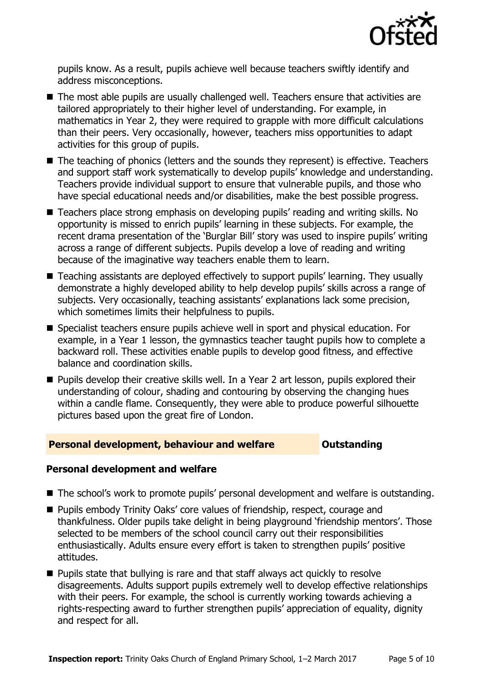

pupils know. As a result, pupils achieve well because teachers swiftly identify and address misconceptions.

- The most able pupils are usually challenged well. Teachers ensure that activities are tailored appropriately to their higher level of understanding. For example, in mathematics in Year 2, they were required to grapple with more difficult calculations than their peers. Very occasionally, however, teachers miss opportunities to adapt activities for this group of pupils.
- The teaching of phonics (letters and the sounds they represent) is effective. Teachers and support staff work systematically to develop pupils' knowledge and understanding. Teachers provide individual support to ensure that vulnerable pupils, and those who have special educational needs and/or disabilities, make the best possible progress.
- Teachers place strong emphasis on developing pupils' reading and writing skills. No opportunity is missed to enrich pupils' learning in these subjects. For example, the recent drama presentation of the 'Burglar Bill' story was used to inspire pupils' writing across a range of different subjects. Pupils develop a love of reading and writing because of the imaginative way teachers enable them to learn.
- Teaching assistants are deployed effectively to support pupils' learning. They usually demonstrate a highly developed ability to help develop pupils' skills across a range of subjects. Very occasionally, teaching assistants' explanations lack some precision, which sometimes limits their helpfulness to pupils.
- Specialist teachers ensure pupils achieve well in sport and physical education. For example, in a Year 1 lesson, the gymnastics teacher taught pupils how to complete a backward roll. These activities enable pupils to develop good fitness, and effective balance and coordination skills.
- **Pupils develop their creative skills well. In a Year 2 art lesson, pupils explored their** understanding of colour, shading and contouring by observing the changing hues within a candle flame. Consequently, they were able to produce powerful silhouette pictures based upon the great fire of London.

#### **Personal development, behaviour and welfare <b>COU Outstanding**

### **Personal development and welfare**

- The school's work to promote pupils' personal development and welfare is outstanding.
- **Pupils embody Trinity Oaks' core values of friendship, respect, courage and** thankfulness. Older pupils take delight in being playground 'friendship mentors'. Those selected to be members of the school council carry out their responsibilities enthusiastically. Adults ensure every effort is taken to strengthen pupils' positive attitudes.
- **Pupils state that bullying is rare and that staff always act quickly to resolve** disagreements. Adults support pupils extremely well to develop effective relationships with their peers. For example, the school is currently working towards achieving a rights-respecting award to further strengthen pupils' appreciation of equality, dignity and respect for all.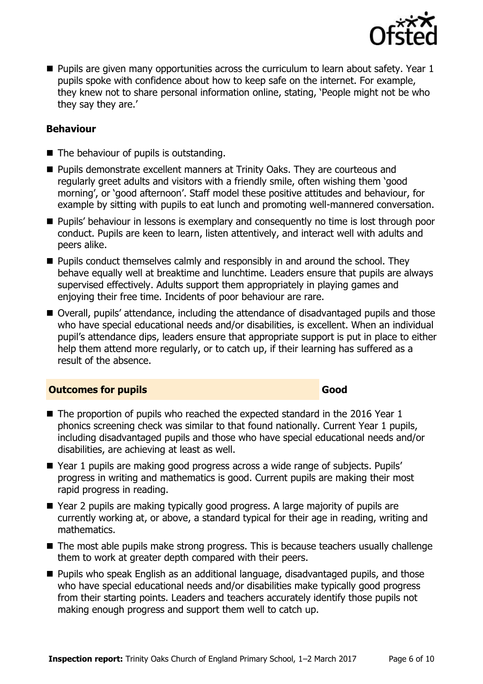

**Pupils are given many opportunities across the curriculum to learn about safety. Year 1** pupils spoke with confidence about how to keep safe on the internet. For example, they knew not to share personal information online, stating, 'People might not be who they say they are.'

#### **Behaviour**

- The behaviour of pupils is outstanding.
- **Pupils demonstrate excellent manners at Trinity Oaks. They are courteous and** regularly greet adults and visitors with a friendly smile, often wishing them 'good morning', or 'good afternoon'. Staff model these positive attitudes and behaviour, for example by sitting with pupils to eat lunch and promoting well-mannered conversation.
- **Pupils' behaviour in lessons is exemplary and consequently no time is lost through poor** conduct. Pupils are keen to learn, listen attentively, and interact well with adults and peers alike.
- $\blacksquare$  Pupils conduct themselves calmly and responsibly in and around the school. They behave equally well at breaktime and lunchtime. Leaders ensure that pupils are always supervised effectively. Adults support them appropriately in playing games and enjoying their free time. Incidents of poor behaviour are rare.
- Overall, pupils' attendance, including the attendance of disadvantaged pupils and those who have special educational needs and/or disabilities, is excellent. When an individual pupil's attendance dips, leaders ensure that appropriate support is put in place to either help them attend more regularly, or to catch up, if their learning has suffered as a result of the absence.

#### **Outcomes for pupils Good**

- The proportion of pupils who reached the expected standard in the 2016 Year 1 phonics screening check was similar to that found nationally. Current Year 1 pupils, including disadvantaged pupils and those who have special educational needs and/or disabilities, are achieving at least as well.
- Year 1 pupils are making good progress across a wide range of subjects. Pupils' progress in writing and mathematics is good. Current pupils are making their most rapid progress in reading.
- Year 2 pupils are making typically good progress. A large majority of pupils are currently working at, or above, a standard typical for their age in reading, writing and mathematics.
- The most able pupils make strong progress. This is because teachers usually challenge them to work at greater depth compared with their peers.
- **Pupils who speak English as an additional language, disadvantaged pupils, and those** who have special educational needs and/or disabilities make typically good progress from their starting points. Leaders and teachers accurately identify those pupils not making enough progress and support them well to catch up.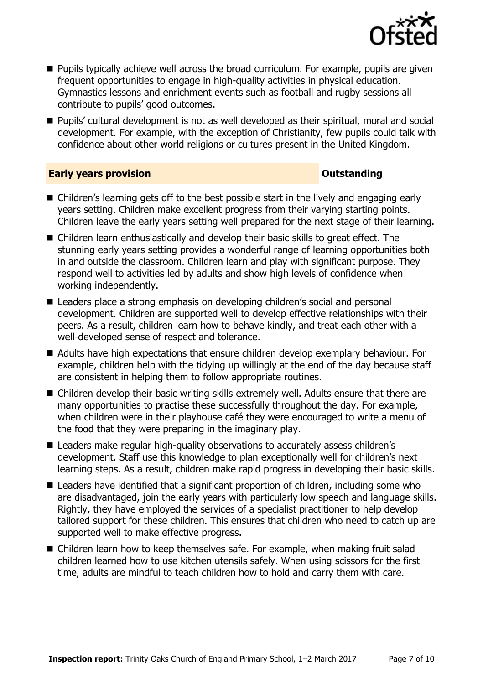

- **Pupils typically achieve well across the broad curriculum. For example, pupils are given** frequent opportunities to engage in high-quality activities in physical education. Gymnastics lessons and enrichment events such as football and rugby sessions all contribute to pupils' good outcomes.
- Pupils' cultural development is not as well developed as their spiritual, moral and social development. For example, with the exception of Christianity, few pupils could talk with confidence about other world religions or cultures present in the United Kingdom.

#### **Early years provision CONSISTER SERVICES CONSISTENT CONSTANT CONSTANT CONSISTENT**

- Children's learning gets off to the best possible start in the lively and engaging early years setting. Children make excellent progress from their varying starting points. Children leave the early years setting well prepared for the next stage of their learning.
- Children learn enthusiastically and develop their basic skills to great effect. The stunning early years setting provides a wonderful range of learning opportunities both in and outside the classroom. Children learn and play with significant purpose. They respond well to activities led by adults and show high levels of confidence when working independently.
- Leaders place a strong emphasis on developing children's social and personal development. Children are supported well to develop effective relationships with their peers. As a result, children learn how to behave kindly, and treat each other with a well-developed sense of respect and tolerance.
- Adults have high expectations that ensure children develop exemplary behaviour. For example, children help with the tidying up willingly at the end of the day because staff are consistent in helping them to follow appropriate routines.
- Children develop their basic writing skills extremely well. Adults ensure that there are many opportunities to practise these successfully throughout the day. For example, when children were in their playhouse café they were encouraged to write a menu of the food that they were preparing in the imaginary play.
- Leaders make regular high-quality observations to accurately assess children's development. Staff use this knowledge to plan exceptionally well for children's next learning steps. As a result, children make rapid progress in developing their basic skills.
- Leaders have identified that a significant proportion of children, including some who are disadvantaged, join the early years with particularly low speech and language skills. Rightly, they have employed the services of a specialist practitioner to help develop tailored support for these children. This ensures that children who need to catch up are supported well to make effective progress.
- Children learn how to keep themselves safe. For example, when making fruit salad children learned how to use kitchen utensils safely. When using scissors for the first time, adults are mindful to teach children how to hold and carry them with care.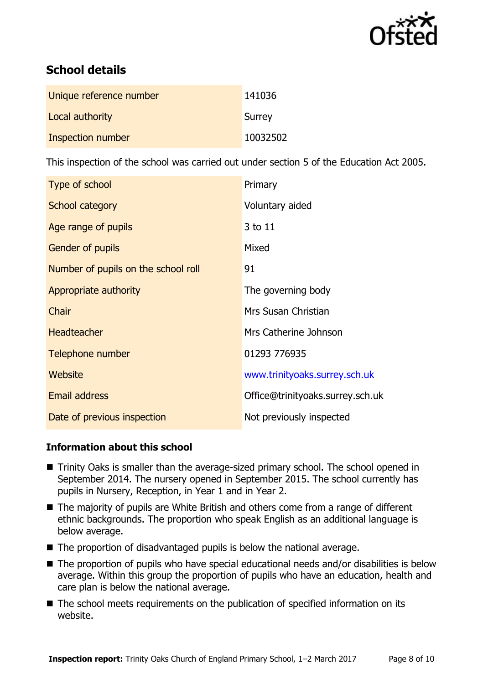

# **School details**

| Unique reference number | 141036   |
|-------------------------|----------|
| Local authority         | Surrey   |
| Inspection number       | 10032502 |

This inspection of the school was carried out under section 5 of the Education Act 2005.

| Type of school                      | Primary                          |
|-------------------------------------|----------------------------------|
| School category                     | Voluntary aided                  |
| Age range of pupils                 | 3 to 11                          |
| <b>Gender of pupils</b>             | Mixed                            |
| Number of pupils on the school roll | 91                               |
| Appropriate authority               | The governing body               |
| Chair                               | Mrs Susan Christian              |
| <b>Headteacher</b>                  | Mrs Catherine Johnson            |
| Telephone number                    | 01293 776935                     |
| Website                             | www.trinityoaks.surrey.sch.uk    |
| <b>Email address</b>                | Office@trinityoaks.surrey.sch.uk |
| Date of previous inspection         | Not previously inspected         |

### **Information about this school**

- Trinity Oaks is smaller than the average-sized primary school. The school opened in September 2014. The nursery opened in September 2015. The school currently has pupils in Nursery, Reception, in Year 1 and in Year 2.
- The majority of pupils are White British and others come from a range of different ethnic backgrounds. The proportion who speak English as an additional language is below average.
- $\blacksquare$  The proportion of disadvantaged pupils is below the national average.
- The proportion of pupils who have special educational needs and/or disabilities is below average. Within this group the proportion of pupils who have an education, health and care plan is below the national average.
- The school meets requirements on the publication of specified information on its website.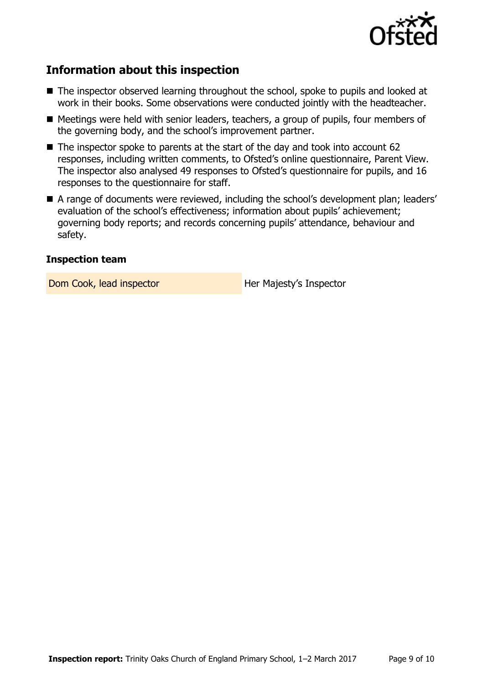

# **Information about this inspection**

- The inspector observed learning throughout the school, spoke to pupils and looked at work in their books. Some observations were conducted jointly with the headteacher.
- Meetings were held with senior leaders, teachers, a group of pupils, four members of the governing body, and the school's improvement partner.
- $\blacksquare$  The inspector spoke to parents at the start of the day and took into account 62 responses, including written comments, to Ofsted's online questionnaire, Parent View. The inspector also analysed 49 responses to Ofsted's questionnaire for pupils, and 16 responses to the questionnaire for staff.
- A range of documents were reviewed, including the school's development plan; leaders' evaluation of the school's effectiveness; information about pupils' achievement; governing body reports; and records concerning pupils' attendance, behaviour and safety.

#### **Inspection team**

Dom Cook, lead inspector **Her Majesty's Inspector**